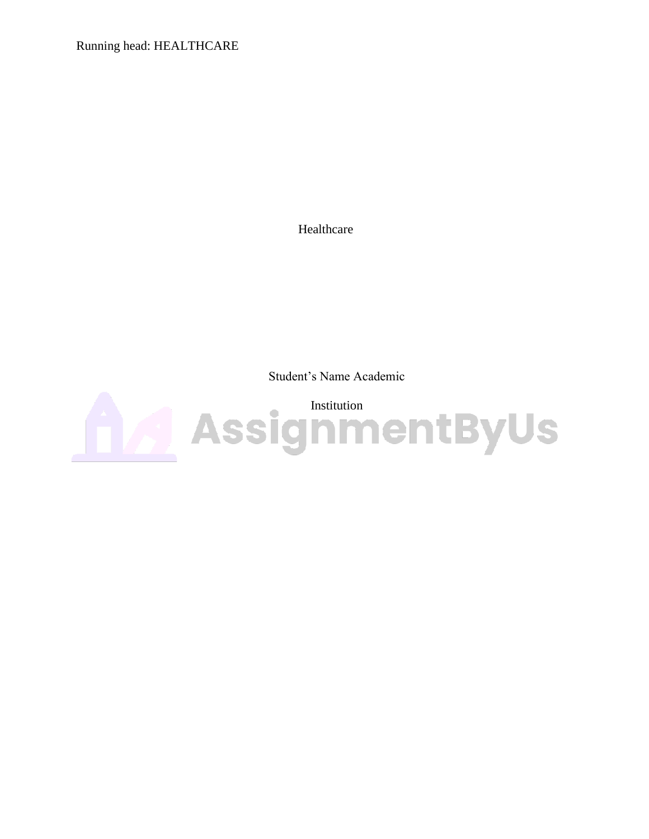Running head: HEALTHCARE

Healthcare

Student's Name Academic

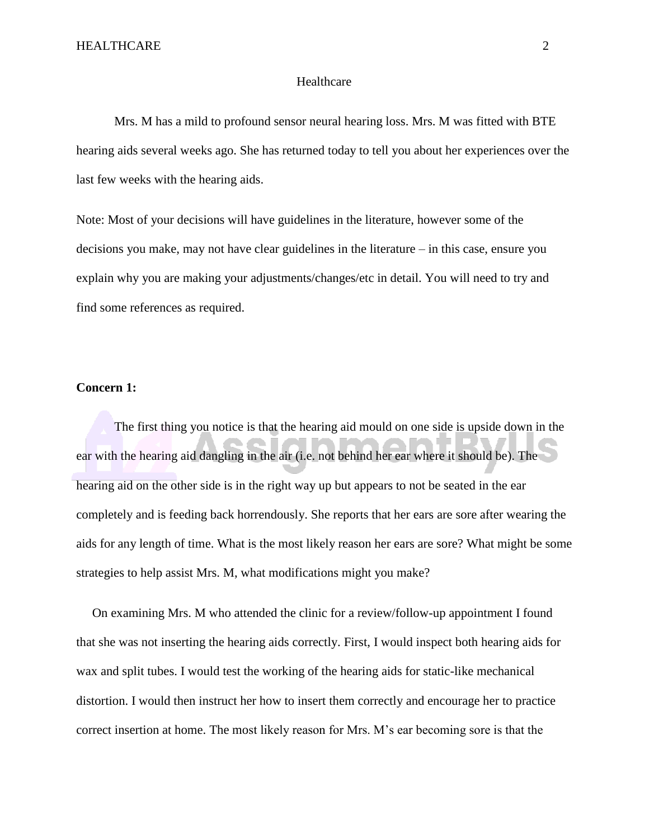## Healthcare

Mrs. M has a mild to profound sensor neural hearing loss. Mrs. M was fitted with BTE hearing aids several weeks ago. She has returned today to tell you about her experiences over the last few weeks with the hearing aids.

Note: Most of your decisions will have guidelines in the literature, however some of the decisions you make, may not have clear guidelines in the literature – in this case, ensure you explain why you are making your adjustments/changes/etc in detail. You will need to try and find some references as required.

## **Concern 1:**

The first thing you notice is that the hearing aid mould on one side is upside down in the ear with the hearing aid dangling in the air (i.e. not behind her ear where it should be). The hearing aid on the other side is in the right way up but appears to not be seated in the ear completely and is feeding back horrendously. She reports that her ears are sore after wearing the aids for any length of time. What is the most likely reason her ears are sore? What might be some strategies to help assist Mrs. M, what modifications might you make?

On examining Mrs. M who attended the clinic for a review/follow-up appointment I found that she was not inserting the hearing aids correctly. First, I would inspect both hearing aids for wax and split tubes. I would test the working of the hearing aids for static-like mechanical distortion. I would then instruct her how to insert them correctly and encourage her to practice correct insertion at home. The most likely reason for Mrs. M's ear becoming sore is that the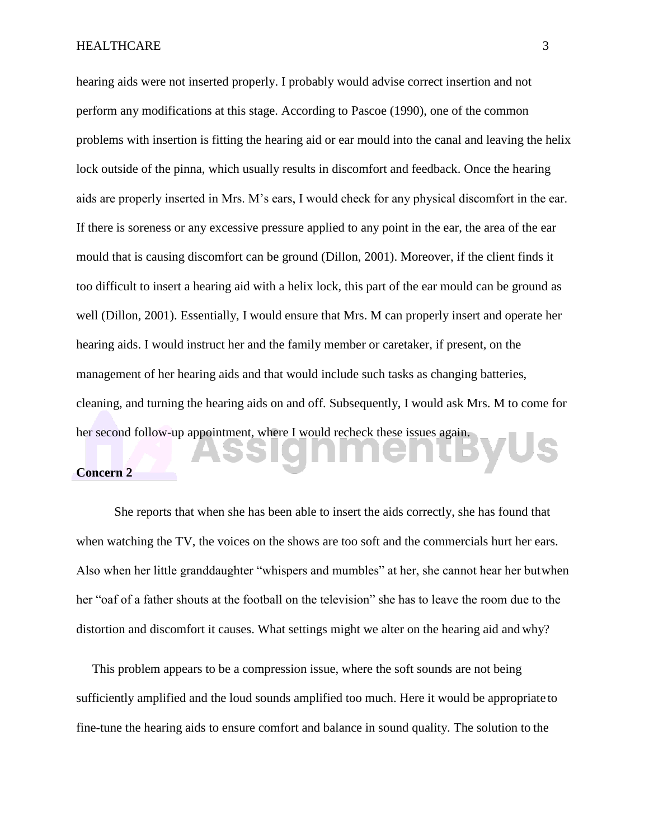hearing aids were not inserted properly. I probably would advise correct insertion and not perform any modifications at this stage. According to Pascoe (1990), one of the common problems with insertion is fitting the hearing aid or ear mould into the canal and leaving the helix lock outside of the pinna, which usually results in discomfort and feedback. Once the hearing aids are properly inserted in Mrs. M's ears, I would check for any physical discomfort in the ear. If there is soreness or any excessive pressure applied to any point in the ear, the area of the ear mould that is causing discomfort can be ground (Dillon, 2001). Moreover, if the client finds it too difficult to insert a hearing aid with a helix lock, this part of the ear mould can be ground as well (Dillon, 2001). Essentially, I would ensure that Mrs. M can properly insert and operate her hearing aids. I would instruct her and the family member or caretaker, if present, on the management of her hearing aids and that would include such tasks as changing batteries, cleaning, and turning the hearing aids on and off. Subsequently, I would ask Mrs. M to come for her second follow-up appointment, where I would recheck these issues again.

## **Concern 2**

She reports that when she has been able to insert the aids correctly, she has found that when watching the TV, the voices on the shows are too soft and the commercials hurt her ears. Also when her little granddaughter "whispers and mumbles" at her, she cannot hear her butwhen her "oaf of a father shouts at the football on the television" she has to leave the room due to the distortion and discomfort it causes. What settings might we alter on the hearing aid and why?

This problem appears to be a compression issue, where the soft sounds are not being sufficiently amplified and the loud sounds amplified too much. Here it would be appropriate to fine-tune the hearing aids to ensure comfort and balance in sound quality. The solution to the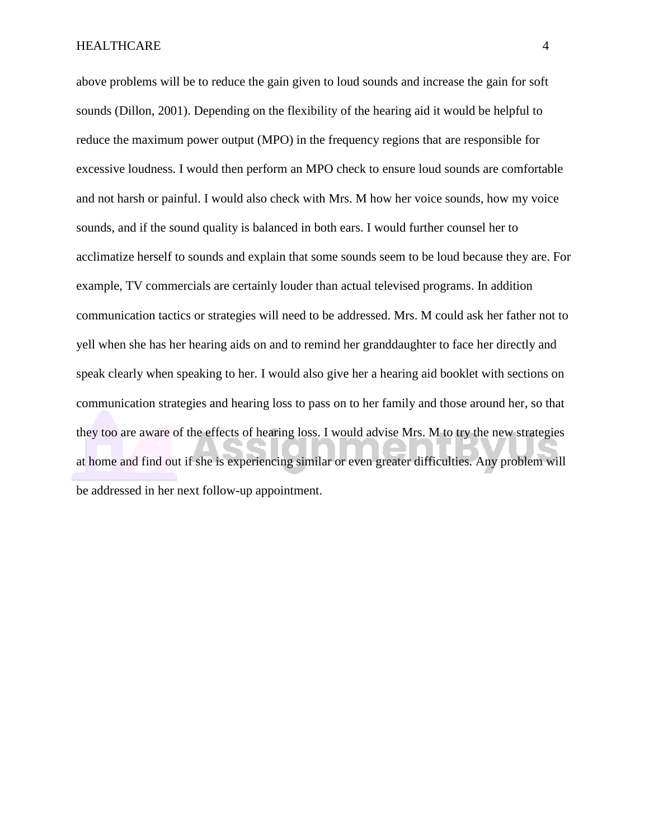above problems will be to reduce the gain given to loud sounds and increase the gain for soft sounds (Dillon, 2001). Depending on the flexibility of the hearing aid it would be helpful to reduce the maximum power output (MPO) in the frequency regions that are responsible for excessive loudness. I would then perform an MPO check to ensure loud sounds are comfortable and not harsh or painful. I would also check with Mrs. M how her voice sounds, how my voice sounds, and if the sound quality is balanced in both ears. I would further counsel her to acclimatize herself to sounds and explain that some sounds seem to be loud because they are. For example, TV commercials are certainly louder than actual televised programs. In addition communication tactics or strategies will need to be addressed. Mrs. M could ask her father not to yell when she has her hearing aids on and to remind her granddaughter to face her directly and speak clearly when speaking to her. I would also give her a hearing aid booklet with sections on communication strategies and hearing loss to pass on to her family and those around her, so that they too are aware of the effects of hearing loss. I would advise Mrs. M to try the new strategies at home and find out if she is experiencing similar or even greater difficulties. Any problem will be addressed in her next follow-up appointment.